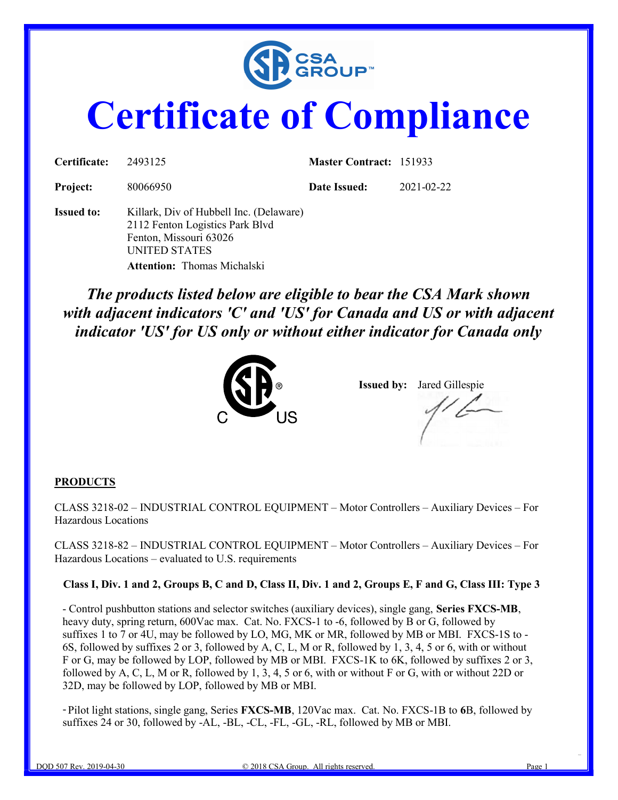

# Certificate of Compliance

| Certificate:      | 2493125                                                                                                                                                     | <b>Master Contract: 151933</b> |            |  |
|-------------------|-------------------------------------------------------------------------------------------------------------------------------------------------------------|--------------------------------|------------|--|
| Project:          | 80066950                                                                                                                                                    | Date Issued:                   | 2021-02-22 |  |
| <b>Issued to:</b> | Killark, Div of Hubbell Inc. (Delaware)<br>2112 Fenton Logistics Park Blvd<br>Fenton, Missouri 63026<br>UNITED STATES<br><b>Attention:</b> Thomas Michalski |                                |            |  |

The products listed below are eligible to bear the CSA Mark shown with adjacent indicators 'C' and 'US' for Canada and US or with adjacent indicator 'US' for US only or without either indicator for Canada only



Issued by: Jared Gillespie

#### **PRODUCTS**

CLASS 3218-02 – INDUSTRIAL CONTROL EQUIPMENT – Motor Controllers – Auxiliary Devices – For Hazardous Locations

CLASS 3218-82 – INDUSTRIAL CONTROL EQUIPMENT – Motor Controllers – Auxiliary Devices – For Hazardous Locations – evaluated to U.S. requirements

#### Class I, Div. 1 and 2, Groups B, C and D, Class II, Div. 1 and 2, Groups E, F and G, Class III: Type 3

- Control pushbutton stations and selector switches (auxiliary devices), single gang, Series FXCS-MB, heavy duty, spring return, 600Vac max. Cat. No. FXCS-1 to -6, followed by B or G, followed by suffixes 1 to 7 or 4U, may be followed by LO, MG, MK or MR, followed by MB or MBI. FXCS-1S to - 6S, followed by suffixes 2 or 3, followed by A, C, L, M or R, followed by 1, 3, 4, 5 or 6, with or without F or G, may be followed by LOP, followed by MB or MBI. FXCS-1K to 6K, followed by suffixes 2 or 3, followed by A, C, L, M or R, followed by 1, 3, 4, 5 or 6, with or without F or G, with or without 22D or 32D, may be followed by LOP, followed by MB or MBI.

- Pilot light stations, single gang, Series FXCS-MB, 120Vac max. Cat. No. FXCS-1B to 6B, followed by suffixes 24 or 30, followed by -AL, -BL, -CL, -FL, -GL, -RL, followed by MB or MBI.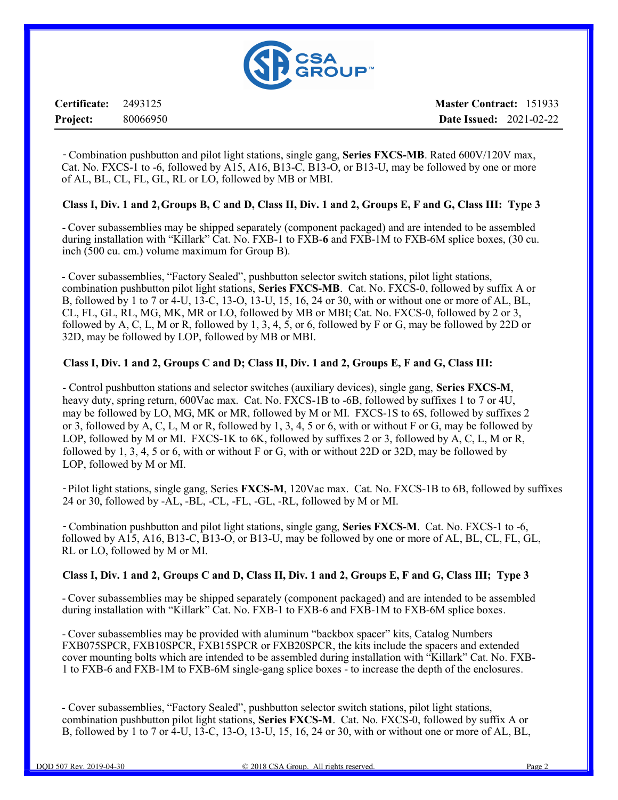

Certificate: 2493125 Project: 80066950 Master Contract: 151933 Date Issued: 2021-02-22

- Combination pushbutton and pilot light stations, single gang, Series FXCS-MB. Rated 600V/120V max, Cat. No. FXCS-1 to -6, followed by A15, A16, B13-C, B13-O, or B13-U, may be followed by one or more of AL, BL, CL, FL, GL, RL or LO, followed by MB or MBI.

#### Class I, Div. 1 and 2, Groups B, C and D, Class II, Div. 1 and 2, Groups E, F and G, Class III: Type 3

- Cover subassemblies may be shipped separately (component packaged) and are intended to be assembled during installation with "Killark" Cat. No. FXB-1 to FXB-6 and FXB-1M to FXB-6M splice boxes, (30 cu. inch (500 cu. cm.) volume maximum for Group B).

- Cover subassemblies, "Factory Sealed", pushbutton selector switch stations, pilot light stations, combination pushbutton pilot light stations, Series FXCS-MB. Cat. No. FXCS-0, followed by suffix A or B, followed by 1 to 7 or 4-U, 13-C, 13-O, 13-U, 15, 16, 24 or 30, with or without one or more of AL, BL, CL, FL, GL, RL, MG, MK, MR or LO, followed by MB or MBI; Cat. No. FXCS-0, followed by 2 or 3, followed by A, C, L, M or R, followed by 1, 3, 4, 5, or 6, followed by F or G, may be followed by 22D or 32D, may be followed by LOP, followed by MB or MBI.

#### Class I, Div. 1 and 2, Groups C and D; Class II, Div. 1 and 2, Groups E, F and G, Class III:

- Control pushbutton stations and selector switches (auxiliary devices), single gang, Series FXCS-M, heavy duty, spring return, 600Vac max. Cat. No. FXCS-1B to -6B, followed by suffixes 1 to 7 or 4U, may be followed by LO, MG, MK or MR, followed by M or MI. FXCS-1S to 6S, followed by suffixes 2 or 3, followed by A, C, L, M or R, followed by 1, 3, 4, 5 or 6, with or without F or G, may be followed by LOP, followed by M or MI. FXCS-1K to 6K, followed by suffixes 2 or 3, followed by A, C, L, M or R, followed by 1, 3, 4, 5 or 6, with or without F or G, with or without 22D or 32D, may be followed by LOP, followed by M or MI.

- Pilot light stations, single gang, Series FXCS-M, 120Vac max. Cat. No. FXCS-1B to 6B, followed by suffixes 24 or 30, followed by -AL, -BL, -CL, -FL, -GL, -RL, followed by M or MI.

- Combination pushbutton and pilot light stations, single gang, Series FXCS-M. Cat. No. FXCS-1 to -6, followed by A15, A16, B13-C, B13-O, or B13-U, may be followed by one or more of AL, BL, CL, FL, GL, RL or LO, followed by M or MI.

#### Class I, Div. 1 and 2, Groups C and D, Class II, Div. 1 and 2, Groups E, F and G, Class III; Type 3

- Cover subassemblies may be shipped separately (component packaged) and are intended to be assembled during installation with "Killark" Cat. No. FXB-1 to FXB-6 and FXB-1M to FXB-6M splice boxes.

- Cover subassemblies may be provided with aluminum "backbox spacer" kits, Catalog Numbers FXB075SPCR, FXB10SPCR, FXB15SPCR or FXB20SPCR, the kits include the spacers and extended cover mounting bolts which are intended to be assembled during installation with "Killark" Cat. No. FXB-1 to FXB-6 and FXB-1M to FXB-6M single-gang splice boxes - to increase the depth of the enclosures.

- Cover subassemblies, "Factory Sealed", pushbutton selector switch stations, pilot light stations, combination pushbutton pilot light stations, Series FXCS-M. Cat. No. FXCS-0, followed by suffix A or B, followed by 1 to 7 or 4-U, 13-C, 13-O, 13-U, 15, 16, 24 or 30, with or without one or more of AL, BL,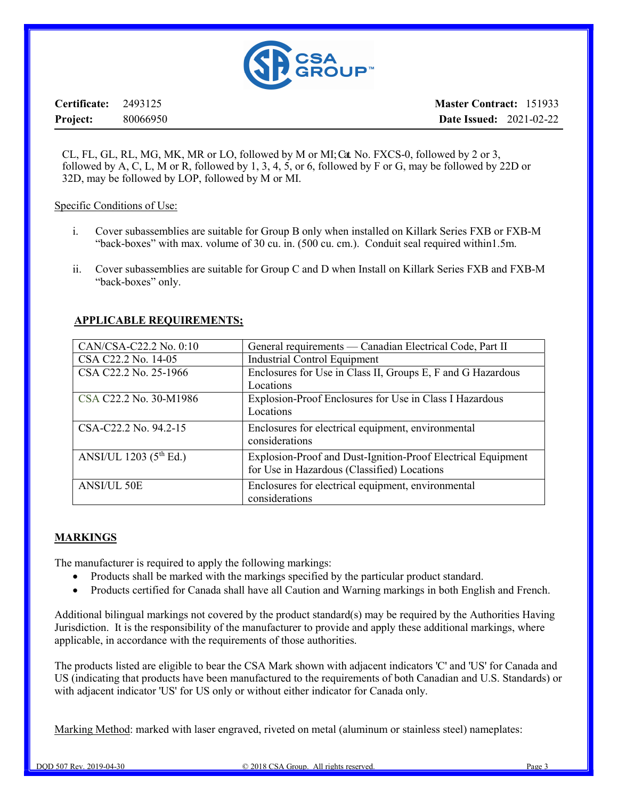

Certificate: 2493125 Project: 80066950 Master Contract: 151933 Date Issued: 2021-02-22

CL, FL, GL, RL, MG, MK, MR or LO, followed by M or MI; Cat. No. FXCS-0, followed by 2 or 3, followed by A, C, L, M or R, followed by 1, 3, 4, 5, or 6, followed by F or G, may be followed by 22D or 32D, may be followed by LOP, followed by M or MI.

#### Specific Conditions of Use:

- i. Cover subassemblies are suitable for Group B only when installed on Killark Series FXB or FXB-M "back-boxes" with max. volume of 30 cu. in. (500 cu. cm.). Conduit seal required within1.5m.
- ii. Cover subassemblies are suitable for Group C and D when Install on Killark Series FXB and FXB-M "back-boxes" only.

#### APPLICABLE REQUIREMENTS;

| CAN/CSA-C22.2 No. 0:10   | General requirements — Canadian Electrical Code, Part II     |
|--------------------------|--------------------------------------------------------------|
| CSA C22.2 No. 14-05      | <b>Industrial Control Equipment</b>                          |
| CSA C22.2 No. 25-1966    | Enclosures for Use in Class II, Groups E, F and G Hazardous  |
|                          | Locations                                                    |
| CSA C22.2 No. 30-M1986   | Explosion-Proof Enclosures for Use in Class I Hazardous      |
|                          | Locations                                                    |
| CSA-C22.2 No. 94.2-15    | Enclosures for electrical equipment, environmental           |
|                          | considerations                                               |
| ANSI/UL 1203 $(5th Ed.)$ | Explosion-Proof and Dust-Ignition-Proof Electrical Equipment |
|                          | for Use in Hazardous (Classified) Locations                  |
| <b>ANSI/UL 50E</b>       | Enclosures for electrical equipment, environmental           |
|                          | considerations                                               |

#### MARKINGS

The manufacturer is required to apply the following markings:

- Products shall be marked with the markings specified by the particular product standard.
- Products certified for Canada shall have all Caution and Warning markings in both English and French.

Additional bilingual markings not covered by the product standard(s) may be required by the Authorities Having Jurisdiction. It is the responsibility of the manufacturer to provide and apply these additional markings, where applicable, in accordance with the requirements of those authorities.

The products listed are eligible to bear the CSA Mark shown with adjacent indicators 'C' and 'US' for Canada and US (indicating that products have been manufactured to the requirements of both Canadian and U.S. Standards) or with adjacent indicator 'US' for US only or without either indicator for Canada only.

Marking Method: marked with laser engraved, riveted on metal (aluminum or stainless steel) nameplates: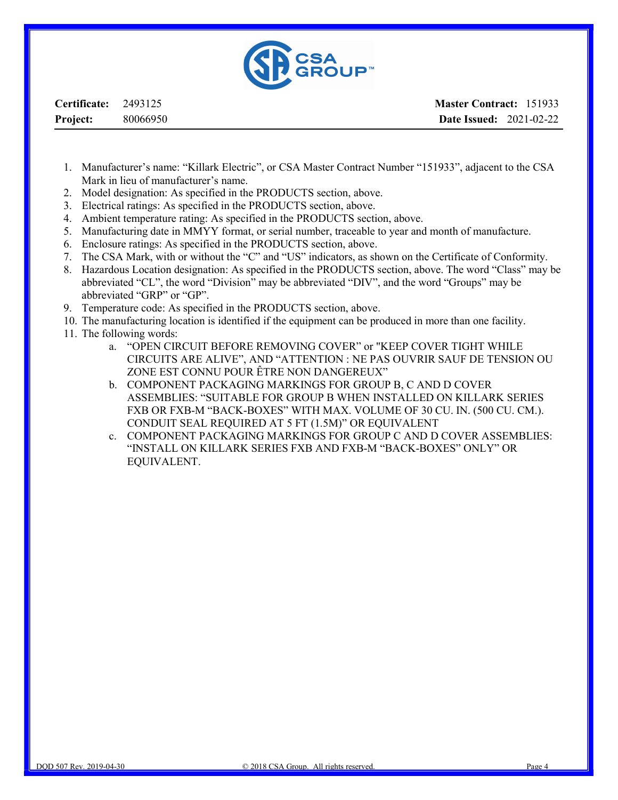

Certificate: 2493125 Project: 80066950

- 1. Manufacturer's name: "Killark Electric", or CSA Master Contract Number "151933", adjacent to the CSA Mark in lieu of manufacturer's name.
- 2. Model designation: As specified in the PRODUCTS section, above.
- 3. Electrical ratings: As specified in the PRODUCTS section, above.
- 4. Ambient temperature rating: As specified in the PRODUCTS section, above.
- 5. Manufacturing date in MMYY format, or serial number, traceable to year and month of manufacture.
- 6. Enclosure ratings: As specified in the PRODUCTS section, above.
- 7. The CSA Mark, with or without the "C" and "US" indicators, as shown on the Certificate of Conformity.
- 8. Hazardous Location designation: As specified in the PRODUCTS section, above. The word "Class" may be abbreviated "CL", the word "Division" may be abbreviated "DIV", and the word "Groups" may be abbreviated "GRP" or "GP".
- 9. Temperature code: As specified in the PRODUCTS section, above.
- 10. The manufacturing location is identified if the equipment can be produced in more than one facility.
- 11. The following words:
	- a. "OPEN CIRCUIT BEFORE REMOVING COVER" or "KEEP COVER TIGHT WHILE CIRCUITS ARE ALIVE", AND "ATTENTION : NE PAS OUVRIR SAUF DE TENSION OU ZONE EST CONNU POUR ÊTRE NON DANGEREUX"
	- b. COMPONENT PACKAGING MARKINGS FOR GROUP B, C AND D COVER ASSEMBLIES: "SUITABLE FOR GROUP B WHEN INSTALLED ON KILLARK SERIES FXB OR FXB-M "BACK-BOXES" WITH MAX. VOLUME OF 30 CU. IN. (500 CU. CM.). CONDUIT SEAL REQUIRED AT 5 FT (1.5M)" OR EQUIVALENT
	- c. COMPONENT PACKAGING MARKINGS FOR GROUP C AND D COVER ASSEMBLIES: "INSTALL ON KILLARK SERIES FXB AND FXB-M "BACK-BOXES" ONLY" OR EQUIVALENT.